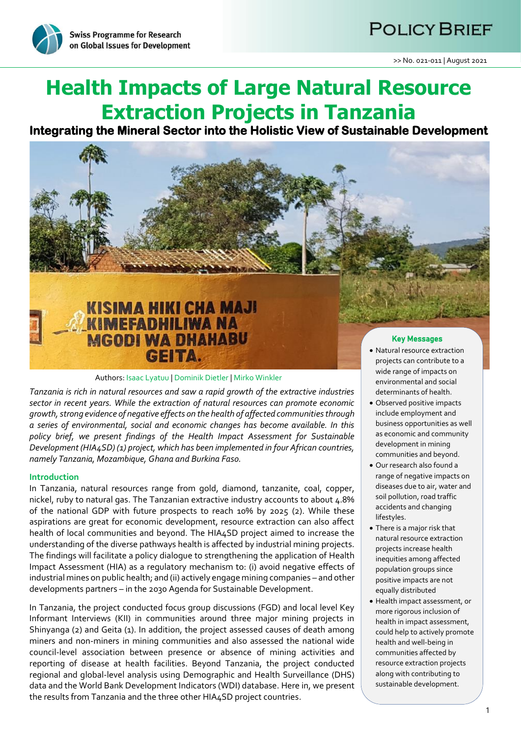# **POLICY BRIEF**



# **Health Impacts of Large Natural Resource Extraction Projects in Tanzania**

**Integrating the Mineral Sector into the Holistic View of Sustainable Development** 



# Authors: Isaac Lyatuu | Dominik Dietler | Mirko Winkler

*Tanzania is rich in natural resources and saw a rapid growth of the extractive industries sector in recent years. While the extraction of natural resources can promote economic growth, strong evidence of negative effects on the health of affected communities through a series of environmental, social and economic changes has become available. In this policy brief, we present findings of the Health Impact Assessment for Sustainable Development (HIA4SD) (1) project, which has been implemented in four African countries, namely Tanzania, Mozambique, Ghana and Burkina Faso.*

### **Introduction**

In Tanzania, natural resources range from gold, diamond, tanzanite, coal, copper, nickel, ruby to natural gas. The Tanzanian extractive industry accounts to about 4.8% of the national GDP with future prospects to reach 10% by 2025 (2). While these aspirations are great for economic development, resource extraction can also affect health of local communities and beyond. The HIA4SD project aimed to increase the understanding of the diverse pathways health is affected by industrial mining projects. The findings will facilitate a policy dialogue to strengthening the application of Health Impact Assessment (HIA) as a regulatory mechanism to: (i) avoid negative effects of industrial mines on public health; and (ii) actively engage mining companies – and other developments partners – in the 2030 Agenda for Sustainable Development.

In Tanzania, the project conducted focus group discussions (FGD) and local level Key Informant Interviews (KII) in communities around three major mining projects in Shinyanga (2) and Geita (1). In addition, the project assessed causes of death among miners and non-miners in mining communities and also assessed the national wide council-level association between presence or absence of mining activities and reporting of disease at health facilities. Beyond Tanzania, the project conducted regional and global-level analysis using Demographic and Health Surveillance (DHS) data and the World Bank Development Indicators (WDI) database. Here in, we present the results from Tanzania and the three other HIA4SD project countries.

- wide range of impacts on environmental and social determinants of health.
- Observed positive impacts include employment and business opportunities as well as economic and community development in mining communities and beyond.
- Our research also found a range of negative impacts on diseases due to air, water and soil pollution, road traffic accidents and changing lifestyles.
- There is a major risk that natural resource extraction projects increase health inequities among affected population groups since positive impacts are not equally distributed
- Health impact assessment, or more rigorous inclusion of health in impact assessment, could help to actively promote health and well-being in communities affected by resource extraction projects along with contributing to sustainable development.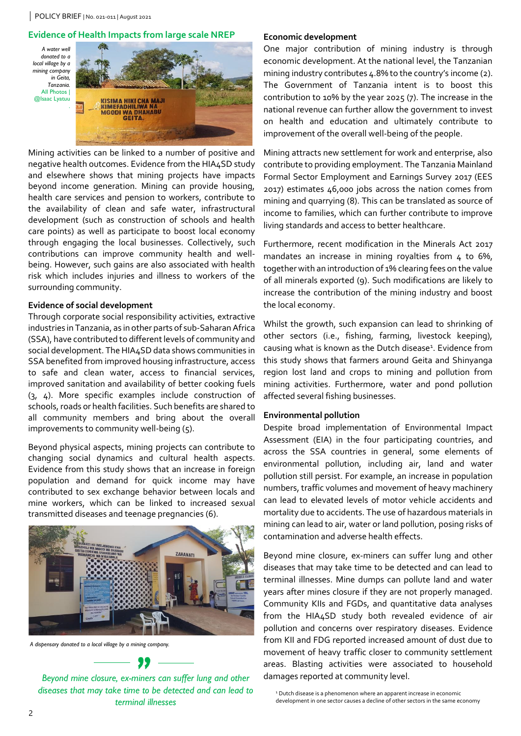# **Evidence of Health Impacts from large scale NREP**





Mining activities can be linked to a number of positive and negative health outcomes. Evidence from the HIA4SD study and elsewhere shows that mining projects have impacts beyond income generation. Mining can provide housing, health care services and pension to workers, contribute to the availability of clean and safe water, infrastructural development (such as construction of schools and health care points) as well as participate to boost local economy through engaging the local businesses. Collectively, such contributions can improve community health and wellbeing. However, such gains are also associated with health risk which includes injuries and illness to workers of the surrounding community.

### **Evidence of social development**

Through corporate social responsibility activities, extractive industries in Tanzania, as in other parts of sub-Saharan Africa (SSA), have contributed to different levels of community and social development. The HIA4SD data shows communities in SSA benefited from improved housing infrastructure, access to safe and clean water, access to financial services, improved sanitation and availability of better cooking fuels (3, 4). More specific examples include construction of schools, roads or health facilities. Such benefits are shared to all community members and bring about the overall improvements to community well-being (5).

Beyond physical aspects, mining projects can contribute to changing social dynamics and cultural health aspects. Evidence from this study shows that an increase in foreign population and demand for quick income may have contributed to sex exchange behavior between locals and mine workers, which can be linked to increased sexual transmitted diseases and teenage pregnancies (6).



*A dispensary donated to a local village by a mining company.*

*Beyond mine closure, ex-miners can suffer lung and other diseases that may take time to be detected and can lead to terminal illnesses*

# **Economic development**

One major contribution of mining industry is through economic development. At the national level, the Tanzanian mining industry contributes 4.8% to the country's income (2). The Government of Tanzania intent is to boost this contribution to 10% by the year 2025 (7). The increase in the national revenue can further allow the government to invest on health and education and ultimately contribute to improvement of the overall well-being of the people.

Mining attracts new settlement for work and enterprise, also contribute to providing employment. The Tanzania Mainland Formal Sector Employment and Earnings Survey 2017 (EES 2017) estimates 46,000 jobs across the nation comes from mining and quarrying (8). This can be translated as source of income to families, which can further contribute to improve living standards and access to better healthcare.

Furthermore, recent modification in the Minerals Act 2017 mandates an increase in mining royalties from 4 to 6%, together with an introduction of 1% clearing fees on the value of all minerals exported (9). Such modifications are likely to increase the contribution of the mining industry and boost the local economy.

Whilst the growth, such expansion can lead to shrinking of other sectors (i.e., fishing, farming, livestock keeping), causing what is known as the Dutch disease<sup>1</sup>. Evidence from this study shows that farmers around Geita and Shinyanga region lost land and crops to mining and pollution from mining activities. Furthermore, water and pond pollution affected several fishing businesses.

# **Environmental pollution**

Despite broad implementation of Environmental Impact Assessment (EIA) in the four participating countries, and across the SSA countries in general, some elements of environmental pollution, including air, land and water pollution still persist. For example, an increase in population numbers, traffic volumes and movement of heavy machinery can lead to elevated levels of motor vehicle accidents and mortality due to accidents. The use of hazardous materials in mining can lead to air, water or land pollution, posing risks of contamination and adverse health effects.

Beyond mine closure, ex-miners can suffer lung and other diseases that may take time to be detected and can lead to terminal illnesses. Mine dumps can pollute land and water years after mines closure if they are not properly managed. Community KIIs and FGDs, and quantitative data analyses from the HIA4SD study both revealed evidence of air pollution and concerns over respiratory diseases. Evidence from KII and FDG reported increased amount of dust due to movement of heavy traffic closer to community settlement areas. Blasting activities were associated to household damages reported at community level.

<sup>1</sup> Dutch disease is a phenomenon where an apparent increase in economic development in one sector causes a decline of other sectors in the same economy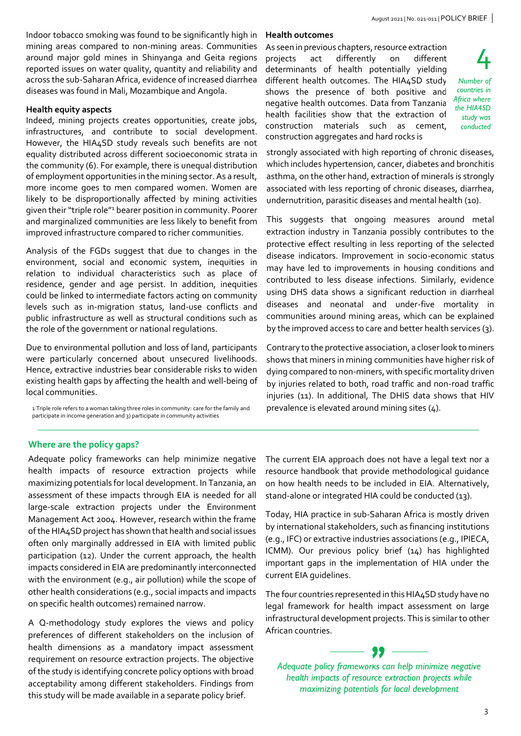Indoor tobacco smoking was found to be significantly high in mining areas compared to non-mining areas. Communities around major gold mines in Shinyanga and Geita regions reported issues on water quality, quantity and reliability and across the sub-Saharan Africa, evidence of increased diarrhea diseases was found in Mali, Mozambique and Angola.

# **Health equity aspects**

Indeed, mining projects creates opportunities, create jobs, infrastructures, and contribute to social development. However, the HIA4SD study reveals such benefits are not equality distributed across different socioeconomic strata in the community (6). For example, there is unequal distribution of employment opportunities in the mining sector. As a result, more income goes to men compared women. Women are likely to be disproportionally affected by mining activities given their "triple role"<sup>1</sup> bearer position in community. Poorer and marginalized communities are less likely to benefit from improved infrastructure compared to richer communities.

Analysis of the FGDs suggest that due to changes in the environment, social and economic system, inequities in relation to individual characteristics such as place of residence, gender and age persist. In addition, inequities could be linked to intermediate factors acting on community levels such as in-migration status, land-use conflicts and public infrastructure as well as structural conditions such as the role of the government or national regulations.

Due to environmental pollution and loss of land, participants were particularly concerned about unsecured livelihoods. Hence, extractive industries bear considerable risks to widen existing health gaps by affecting the health and well-being of local communities.

1 Triple role refers to a woman taking three roles in community: care for the family and participate in income generation and 3) participate in community activities

# **Health outcomes**

As seen in previous chapters, resource extraction projects act differently on different determinants of health potentially yielding different health outcomes. The HIA4SD study shows the presence of both positive and negative health outcomes. Data from Tanzania health facilities show that the extraction of construction materials such as cement, construction aggregates and hard rocks is

4 *Number of countries in Africa where the HIA4SD study was conducted*

strongly associated with high reporting of chronic diseases, which includes hypertension, cancer, diabetes and bronchitis asthma, on the other hand, extraction of minerals is strongly associated with less reporting of chronic diseases, diarrhea, undernutrition, parasitic diseases and mental health (10).

This suggests that ongoing measures around metal extraction industry in Tanzania possibly contributes to the protective effect resulting in less reporting of the selected disease indicators. Improvement in socio-economic status may have led to improvements in housing conditions and contributed to less disease infections. Similarly, evidence using DHS data shows a significant reduction in diarrheal diseases and neonatal and under-five mortality in communities around mining areas, which can be explained by the improved access to care and better health services (3).

Contrary to the protective association, a closer look to miners shows that miners in mining communities have higher risk of dying compared to non-miners, with specific mortality driven by injuries related to both, road traffic and non-road traffic injuries (11). In additional, The DHIS data shows that HIV prevalence is elevated around mining sites (4).

# **Where are the policy gaps?**

Adequate policy frameworks can help minimize negative health impacts of resource extraction projects while maximizing potentials for local development. In Tanzania, an assessment of these impacts through EIA is needed for all large-scale extraction projects under the Environment Management Act 2004. However, research within the frame of the HIA4SD project has shown that health and social issues often only marginally addressed in EIA with limited public participation (12). Under the current approach, the health impacts considered in EIA are predominantly interconnected with the environment (e.g., air pollution) while the scope of other health considerations (e.g., social impacts and impacts on specific health outcomes) remained narrow.

A Q-methodology study explores the views and policy preferences of different stakeholders on the inclusion of health dimensions as a mandatory impact assessment requirement on resource extraction projects. The objective of the study is identifying concrete policy options with broad acceptability among different stakeholders. Findings from this study will be made available in a separate policy brief.

The current EIA approach does not have a legal text nor a resource handbook that provide methodological guidance on how health needs to be included in EIA. Alternatively, stand-alone or integrated HIA could be conducted (13).

Today, HIA practice in sub-Saharan Africa is mostly driven by international stakeholders, such as financing institutions (e.g., IFC) or extractive industries associations (e.g., IPIECA, ICMM). Our previous policy brief (14) has highlighted important gaps in the implementation of HIA under the current EIA guidelines.

The four countries represented in this HIA4SD study have no legal framework for health impact assessment on large infrastructural development projects. This is similar to other African countries.

*Adequate policy frameworks can help minimize negative health impacts of resource extraction projects while maximizing potentials for local development*

"